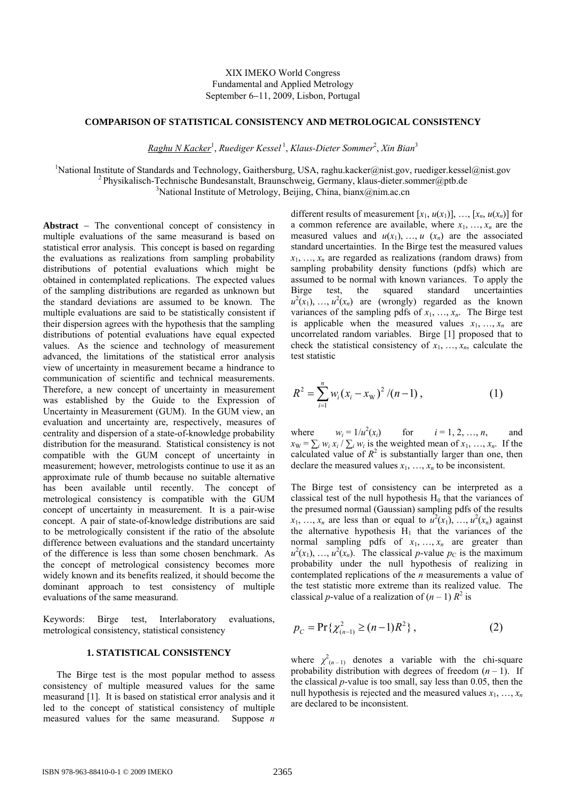# XIX IMEKO World Congress Fundamental and Applied Metrology September 6−11, 2009, Lisbon, Portugal

# **COMPARISON OF STATISTICAL CONSISTENCY AND METROLOGICAL CONSISTENCY**

*Raghu N Kacker*<sup>1</sup> , *Ruediger Kessel* <sup>1</sup> , *Klaus-Dieter Sommer*<sup>2</sup> , *Xin Bian*<sup>3</sup>

<sup>1</sup>National Institute of Standards and Technology, Gaithersburg, USA, raghu.kacker@nist.gov, ruediger.kessel@nist.gov <sup>2</sup> Physikalisch-Technische Bundesanstalt, Braunschweig, Germany, klaus-dieter.sommer@ptb.de <sup>3</sup>National Institute of Metrology, Beijing, China, bianx@nim.ac.cn

**Abstract** − The conventional concept of consistency in multiple evaluations of the same measurand is based on statistical error analysis. This concept is based on regarding the evaluations as realizations from sampling probability distributions of potential evaluations which might be obtained in contemplated replications. The expected values of the sampling distributions are regarded as unknown but the standard deviations are assumed to be known. The multiple evaluations are said to be statistically consistent if their dispersion agrees with the hypothesis that the sampling distributions of potential evaluations have equal expected values. As the science and technology of measurement advanced, the limitations of the statistical error analysis view of uncertainty in measurement became a hindrance to communication of scientific and technical measurements. Therefore, a new concept of uncertainty in measurement was established by the Guide to the Expression of Uncertainty in Measurement (GUM). In the GUM view, an evaluation and uncertainty are, respectively, measures of centrality and dispersion of a state-of-knowledge probability distribution for the measurand. Statistical consistency is not compatible with the GUM concept of uncertainty in measurement; however, metrologists continue to use it as an approximate rule of thumb because no suitable alternative has been available until recently. The concept of metrological consistency is compatible with the GUM concept of uncertainty in measurement. It is a pair-wise concept. A pair of state-of-knowledge distributions are said to be metrologically consistent if the ratio of the absolute difference between evaluations and the standard uncertainty of the difference is less than some chosen benchmark. As the concept of metrological consistency becomes more widely known and its benefits realized, it should become the dominant approach to test consistency of multiple evaluations of the same measurand.

Keywords: Birge test, Interlaboratory evaluations, metrological consistency, statistical consistency

### **1. STATISTICAL CONSISTENCY**

The Birge test is the most popular method to assess consistency of multiple measured values for the same measurand [1]. It is based on statistical error analysis and it led to the concept of statistical consistency of multiple measured values for the same measurand. Suppose *n* different results of measurement  $[x_1, u(x_1)], \ldots, [x_n, u(x_n)]$  for a common reference are available, where  $x_1, \ldots, x_n$  are the measured values and  $u(x_1), \ldots, u(x_n)$  are the associated standard uncertainties. In the Birge test the measured values  $x_1, \ldots, x_n$  are regarded as realizations (random draws) from sampling probability density functions (pdfs) which are assumed to be normal with known variances. To apply the Birge test, the squared standard uncertainties  $u^2(x_1), \ldots, u^2(x_n)$  are (wrongly) regarded as the known variances of the sampling pdfs of  $x_1, \ldots, x_n$ . The Birge test is applicable when the measured values  $x_1, \ldots, x_n$  are uncorrelated random variables. Birge [1] proposed that to check the statistical consistency of  $x_1, \ldots, x_n$ , calculate the test statistic

$$
R^{2} = \sum_{i=1}^{n} w_{i} (x_{i} - x_{w})^{2} / (n-1), \qquad (1)
$$

where  $w_i = 1/u^2(x_i)$ for  $i = 1, 2, ..., n$ , and  $x_W = \sum_i w_i x_i / \sum_i w_i$  is the weighted mean of  $x_1, \ldots, x_n$ . If the calculated value of  $R^2$  is substantially larger than one, then declare the measured values  $x_1, \ldots, x_n$  to be inconsistent.

The Birge test of consistency can be interpreted as a classical test of the null hypothesis  $H_0$  that the variances of the presumed normal (Gaussian) sampling pdfs of the results  $x_1, \ldots, x_n$  are less than or equal to  $u^2(x_1), \ldots, u^2(x_n)$  against the alternative hypothesis  $H_1$  that the variances of the normal sampling pdfs of  $x_1, \ldots, x_n$  are greater than  $u^2(x_1), \ldots, u^2(x_n)$ . The classical *p*-value  $p_c$  is the maximum probability under the null hypothesis of realizing in contemplated replications of the *n* measurements a value of the test statistic more extreme than its realized value. The classical *p*-value of a realization of  $(n - 1) R^2$  is

$$
p_C = \Pr\{\chi^2_{(n-1)} \ge (n-1)R^2\},\tag{2}
$$

where  $\chi^2_{(n-1)}$  denotes a variable with the chi-square probability distribution with degrees of freedom  $(n - 1)$ . If the classical *p*-value is too small, say less than 0.05, then the null hypothesis is rejected and the measured values  $x_1, \ldots, x_n$ are declared to be inconsistent.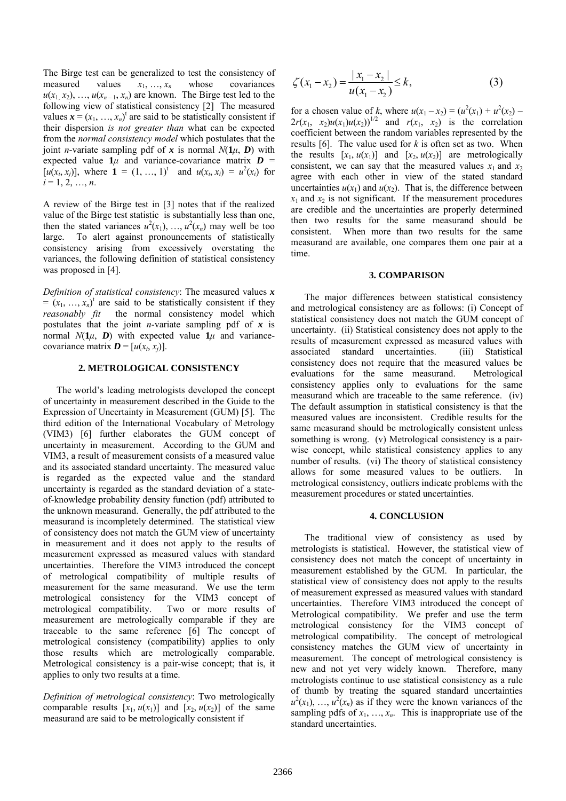The Birge test can be generalized to test the consistency of measured values  $x_1, \ldots, x_n$  whose covariances  $u(x_1, x_2), \ldots, u(x_{n-1}, x_n)$  are known. The Birge test led to the following view of statistical consistency [2] The measured values  $\mathbf{x} = (x_1, ..., x_n)^t$  are said to be statistically consistent if their dispersion *is not greater than* what can be expected from the *normal consistency model* which postulates that the joint *n*-variate sampling pdf of x is normal  $N(1\mu, D)$  with expected value  $1\mu$  and variance-covariance matrix  $D =$  $[u(x_i, x_j)]$ , where  $\mathbf{1} = (1, ..., 1)^t$  and  $u(x_i, x_i) = u^2(x_i)$  for  $i = 1, 2, ..., n$ .

A review of the Birge test in [3] notes that if the realized value of the Birge test statistic is substantially less than one, then the stated variances  $u^2(x_1), \ldots, u^2(x_n)$  may well be too large. To alert against pronouncements of statistically consistency arising from excessively overstating the variances, the following definition of statistical consistency was proposed in [4].

*Definition of statistical consistency*: The measured values *x*  $=(x_1, \ldots, x_n)^t$  are said to be statistically consistent if they *reasonably fit* the normal consistency model which postulates that the joint *n*-variate sampling pdf of *x* is normal  $N(1\mu, D)$  with expected value  $1\mu$  and variancecovariance matrix  $D = [u(x_i, x_j)]$ .

#### **2. METROLOGICAL CONSISTENCY**

The world's leading metrologists developed the concept of uncertainty in measurement described in the Guide to the Expression of Uncertainty in Measurement (GUM) [5]. The third edition of the International Vocabulary of Metrology (VIM3) [6] further elaborates the GUM concept of uncertainty in measurement. According to the GUM and VIM3, a result of measurement consists of a measured value and its associated standard uncertainty. The measured value is regarded as the expected value and the standard uncertainty is regarded as the standard deviation of a stateof-knowledge probability density function (pdf) attributed to the unknown measurand. Generally, the pdf attributed to the measurand is incompletely determined. The statistical view of consistency does not match the GUM view of uncertainty in measurement and it does not apply to the results of measurement expressed as measured values with standard uncertainties. Therefore the VIM3 introduced the concept of metrological compatibility of multiple results of measurement for the same measurand. We use the term metrological consistency for the VIM3 concept of metrological compatibility. Two or more results of measurement are metrologically comparable if they are traceable to the same reference [6] The concept of metrological consistency (compatibility) applies to only those results which are metrologically comparable. Metrological consistency is a pair-wise concept; that is, it applies to only two results at a time.

*Definition of metrological consistency*: Two metrologically comparable results  $[x_1, u(x_1)]$  and  $[x_2, u(x_2)]$  of the same measurand are said to be metrologically consistent if

$$
\zeta(x_1 - x_2) = \frac{|x_1 - x_2|}{u(x_1 - x_2)} \le k,
$$
\n(3)

for a chosen value of *k*, where  $u(x_1 - x_2) = (u^2(x_1) + u^2(x_2) 2r(x_1, x_2)u(x_1)u(x_2)$ <sup>1/2</sup> and  $r(x_1, x_2)$  is the correlation coefficient between the random variables represented by the results [6]. The value used for *k* is often set as two. When the results  $[x_1, u(x_1)]$  and  $[x_2, u(x_2)]$  are metrologically consistent, we can say that the measured values  $x_1$  and  $x_2$ agree with each other in view of the stated standard uncertainties  $u(x_1)$  and  $u(x_2)$ . That is, the difference between  $x_1$  and  $x_2$  is not significant. If the measurement procedures are credible and the uncertainties are properly determined then two results for the same measurand should be consistent. When more than two results for the same measurand are available, one compares them one pair at a time.

# **3. COMPARISON**

The major differences between statistical consistency and metrological consistency are as follows: (i) Concept of statistical consistency does not match the GUM concept of uncertainty. (ii) Statistical consistency does not apply to the results of measurement expressed as measured values with associated standard uncertainties. (iii) Statistical consistency does not require that the measured values be evaluations for the same measurand. Metrological consistency applies only to evaluations for the same measurand which are traceable to the same reference. (iv) The default assumption in statistical consistency is that the measured values are inconsistent. Credible results for the same measurand should be metrologically consistent unless something is wrong. (v) Metrological consistency is a pairwise concept, while statistical consistency applies to any number of results. (vi) The theory of statistical consistency allows for some measured values to be outliers. In metrological consistency, outliers indicate problems with the measurement procedures or stated uncertainties.

# **4. CONCLUSION**

The traditional view of consistency as used by metrologists is statistical. However, the statistical view of consistency does not match the concept of uncertainty in measurement established by the GUM. In particular, the statistical view of consistency does not apply to the results of measurement expressed as measured values with standard uncertainties. Therefore VIM3 introduced the concept of Metrological compatibility. We prefer and use the term metrological consistency for the VIM3 concept of metrological compatibility. The concept of metrological consistency matches the GUM view of uncertainty in measurement. The concept of metrological consistency is new and not yet very widely known. Therefore, many metrologists continue to use statistical consistency as a rule of thumb by treating the squared standard uncertainties  $u^2(x_1)$ , ...,  $u^2(x_n)$  as if they were the known variances of the sampling pdfs of  $x_1, \ldots, x_n$ . This is inappropriate use of the standard uncertainties.